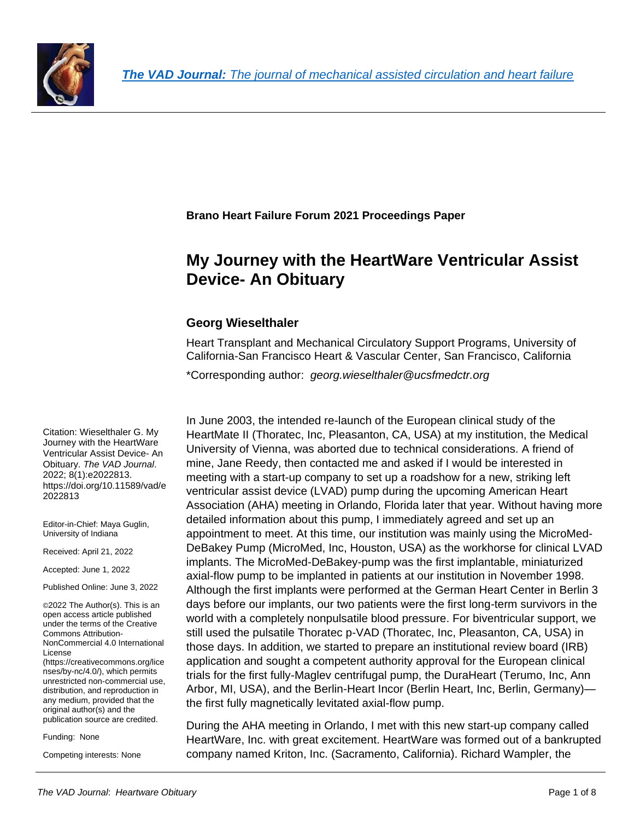

**Brano Heart Failure Forum 2021 Proceedings Paper**

## **My Journey with the HeartWare Ventricular Assist Device- An Obituary**

## **Georg Wieselthaler**

Heart Transplant and Mechanical Circulatory Support Programs, University of California-San Francisco Heart & Vascular Center, San Francisco, California

\*Corresponding author: *georg.wieselthaler@ucsfmedctr.org*

In June 2003, the intended re-launch of the European clinical study of the HeartMate II (Thoratec, Inc, Pleasanton, CA, USA) at my institution, the Medical University of Vienna, was aborted due to technical considerations. A friend of mine, Jane Reedy, then contacted me and asked if I would be interested in meeting with a start-up company to set up a roadshow for a new, striking left ventricular assist device (LVAD) pump during the upcoming American Heart Association (AHA) meeting in Orlando, Florida later that year. Without having more detailed information about this pump, I immediately agreed and set up an appointment to meet. At this time, our institution was mainly using the MicroMed-DeBakey Pump (MicroMed, Inc, Houston, USA) as the workhorse for clinical LVAD implants. The MicroMed-DeBakey-pump was the first implantable, miniaturized axial-flow pump to be implanted in patients at our institution in November 1998. Although the first implants were performed at the German Heart Center in Berlin 3 days before our implants, our two patients were the first long-term survivors in the world with a completely nonpulsatile blood pressure. For biventricular support, we still used the pulsatile Thoratec p-VAD (Thoratec, Inc, Pleasanton, CA, USA) in those days. In addition, we started to prepare an institutional review board (IRB) application and sought a competent authority approval for the European clinical trials for the first fully-Maglev centrifugal pump, the DuraHeart (Terumo, Inc, Ann Arbor, MI, USA), and the Berlin-Heart Incor (Berlin Heart, Inc, Berlin, Germany) the first fully magnetically levitated axial-flow pump.

During the AHA meeting in Orlando, I met with this new start-up company called HeartWare, Inc. with great excitement. HeartWare was formed out of a bankrupted company named Kriton, Inc. (Sacramento, California). Richard Wampler, the

Citation: Wieselthaler G. My Journey with the HeartWare Ventricular Assist Device- An Obituary. *The VAD Journal*. 2022; 8(1):e2022813. https://doi.org/10.11589/vad/e 2022813

Editor-in-Chief: Maya Guglin, University of Indiana

Received: April 21, 2022

Accepted: June 1, 2022

Published Online: June 3, 2022

©2022 The Author(s). This is an open access article published under the terms of the [Creative](http://creativecommons.org/licenses/by-nc/4.0/)  [Commons Attribution-](http://creativecommons.org/licenses/by-nc/4.0/)[NonCommercial 4.0 International](http://creativecommons.org/licenses/by-nc/4.0/)  [License](http://creativecommons.org/licenses/by-nc/4.0/) [\(https://creativecommons.org/lice](https://creativecommons.org/licenses/by-nc/4.0/) [nses/by-nc/4.0/\)](https://creativecommons.org/licenses/by-nc/4.0/), which permits unrestricted non-commercial use, distribution, and reproduction in any medium, provided that the original author(s) and the publication source are credited.

Funding: None

Competing interests: None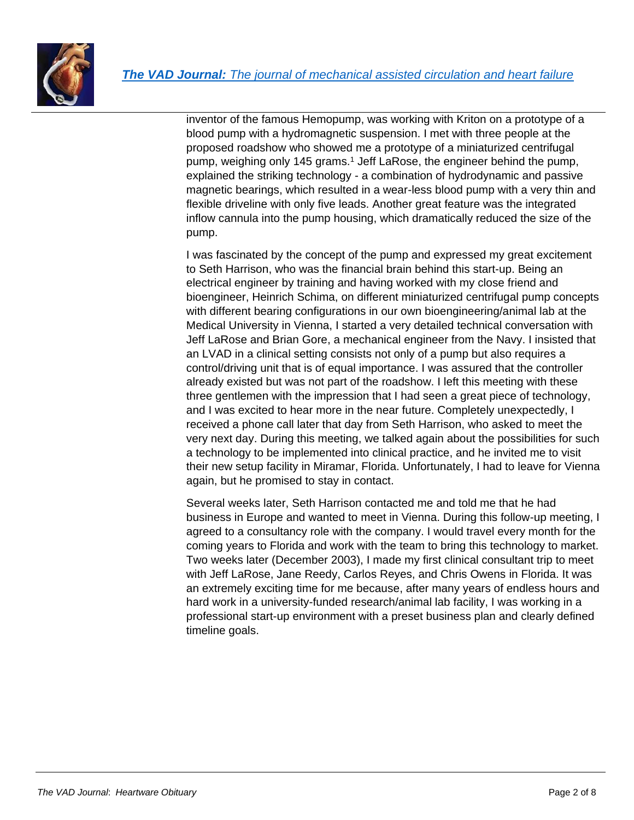



inventor of the famous Hemopump, was working with Kriton on a prototype of a blood pump with a hydromagnetic suspension. I met with three people at the proposed roadshow who showed me a prototype of a miniaturized centrifugal pump, weighing only 145 grams.<sup>1</sup> Jeff LaRose, the engineer behind the pump, explained the striking technology - a combination of hydrodynamic and passive magnetic bearings, which resulted in a wear-less blood pump with a very thin and flexible driveline with only five leads. Another great feature was the integrated inflow cannula into the pump housing, which dramatically reduced the size of the pump.

I was fascinated by the concept of the pump and expressed my great excitement to Seth Harrison, who was the financial brain behind this start-up. Being an electrical engineer by training and having worked with my close friend and bioengineer, Heinrich Schima, on different miniaturized centrifugal pump concepts with different bearing configurations in our own bioengineering/animal lab at the Medical University in Vienna, I started a very detailed technical conversation with Jeff LaRose and Brian Gore, a mechanical engineer from the Navy. I insisted that an LVAD in a clinical setting consists not only of a pump but also requires a control/driving unit that is of equal importance. I was assured that the controller already existed but was not part of the roadshow. I left this meeting with these three gentlemen with the impression that I had seen a great piece of technology, and I was excited to hear more in the near future. Completely unexpectedly, I received a phone call later that day from Seth Harrison, who asked to meet the very next day. During this meeting, we talked again about the possibilities for such a technology to be implemented into clinical practice, and he invited me to visit their new setup facility in Miramar, Florida. Unfortunately, I had to leave for Vienna again, but he promised to stay in contact.

Several weeks later, Seth Harrison contacted me and told me that he had business in Europe and wanted to meet in Vienna. During this follow-up meeting, I agreed to a consultancy role with the company. I would travel every month for the coming years to Florida and work with the team to bring this technology to market. Two weeks later (December 2003), I made my first clinical consultant trip to meet with Jeff LaRose, Jane Reedy, Carlos Reyes, and Chris Owens in Florida. It was an extremely exciting time for me because, after many years of endless hours and hard work in a university-funded research/animal lab facility, I was working in a professional start-up environment with a preset business plan and clearly defined timeline goals.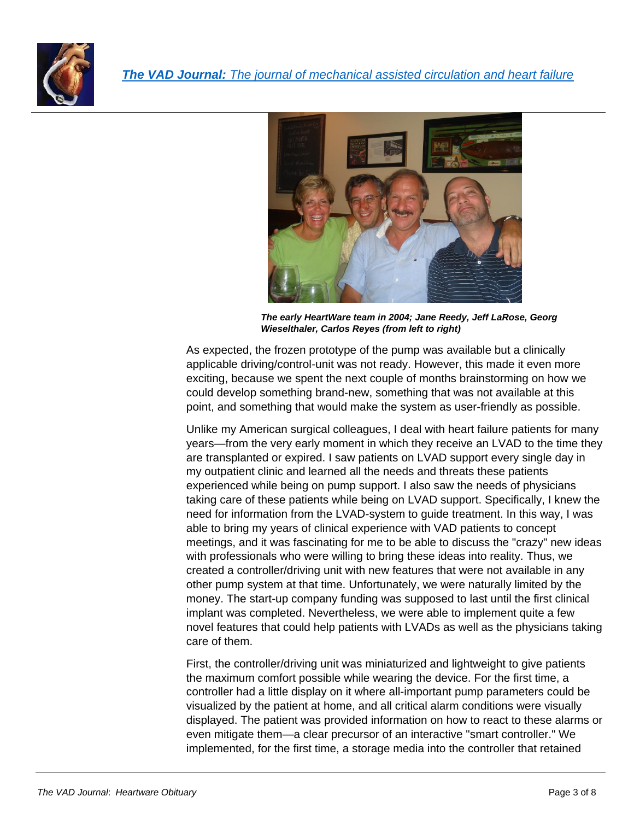



*The early HeartWare team in 2004; Jane Reedy, Jeff LaRose, Georg Wieselthaler, Carlos Reyes (from left to right)* 

As expected, the frozen prototype of the pump was available but a clinically applicable driving/control-unit was not ready. However, this made it even more exciting, because we spent the next couple of months brainstorming on how we could develop something brand-new, something that was not available at this point, and something that would make the system as user-friendly as possible.

Unlike my American surgical colleagues, I deal with heart failure patients for many years—from the very early moment in which they receive an LVAD to the time they are transplanted or expired. I saw patients on LVAD support every single day in my outpatient clinic and learned all the needs and threats these patients experienced while being on pump support. I also saw the needs of physicians taking care of these patients while being on LVAD support. Specifically, I knew the need for information from the LVAD-system to guide treatment. In this way, I was able to bring my years of clinical experience with VAD patients to concept meetings, and it was fascinating for me to be able to discuss the "crazy" new ideas with professionals who were willing to bring these ideas into reality. Thus, we created a controller/driving unit with new features that were not available in any other pump system at that time. Unfortunately, we were naturally limited by the money. The start-up company funding was supposed to last until the first clinical implant was completed. Nevertheless, we were able to implement quite a few novel features that could help patients with LVADs as well as the physicians taking care of them.

First, the controller/driving unit was miniaturized and lightweight to give patients the maximum comfort possible while wearing the device. For the first time, a controller had a little display on it where all-important pump parameters could be visualized by the patient at home, and all critical alarm conditions were visually displayed. The patient was provided information on how to react to these alarms or even mitigate them—a clear precursor of an interactive "smart controller." We implemented, for the first time, a storage media into the controller that retained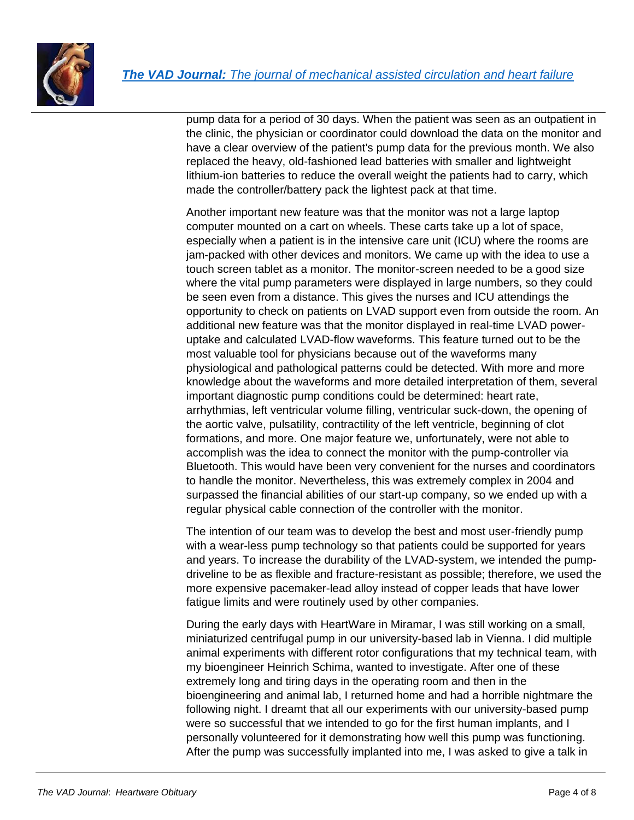

pump data for a period of 30 days. When the patient was seen as an outpatient in the clinic, the physician or coordinator could download the data on the monitor and have a clear overview of the patient's pump data for the previous month. We also replaced the heavy, old-fashioned lead batteries with smaller and lightweight lithium-ion batteries to reduce the overall weight the patients had to carry, which made the controller/battery pack the lightest pack at that time.

Another important new feature was that the monitor was not a large laptop computer mounted on a cart on wheels. These carts take up a lot of space, especially when a patient is in the intensive care unit (ICU) where the rooms are jam-packed with other devices and monitors. We came up with the idea to use a touch screen tablet as a monitor. The monitor-screen needed to be a good size where the vital pump parameters were displayed in large numbers, so they could be seen even from a distance. This gives the nurses and ICU attendings the opportunity to check on patients on LVAD support even from outside the room. An additional new feature was that the monitor displayed in real-time LVAD poweruptake and calculated LVAD-flow waveforms. This feature turned out to be the most valuable tool for physicians because out of the waveforms many physiological and pathological patterns could be detected. With more and more knowledge about the waveforms and more detailed interpretation of them, several important diagnostic pump conditions could be determined: heart rate, arrhythmias, left ventricular volume filling, ventricular suck-down, the opening of the aortic valve, pulsatility, contractility of the left ventricle, beginning of clot formations, and more. One major feature we, unfortunately, were not able to accomplish was the idea to connect the monitor with the pump-controller via Bluetooth. This would have been very convenient for the nurses and coordinators to handle the monitor. Nevertheless, this was extremely complex in 2004 and surpassed the financial abilities of our start-up company, so we ended up with a regular physical cable connection of the controller with the monitor.

The intention of our team was to develop the best and most user-friendly pump with a wear-less pump technology so that patients could be supported for years and years. To increase the durability of the LVAD-system, we intended the pumpdriveline to be as flexible and fracture-resistant as possible; therefore, we used the more expensive pacemaker-lead alloy instead of copper leads that have lower fatigue limits and were routinely used by other companies.

During the early days with HeartWare in Miramar, I was still working on a small, miniaturized centrifugal pump in our university-based lab in Vienna. I did multiple animal experiments with different rotor configurations that my technical team, with my bioengineer Heinrich Schima, wanted to investigate. After one of these extremely long and tiring days in the operating room and then in the bioengineering and animal lab, I returned home and had a horrible nightmare the following night. I dreamt that all our experiments with our university-based pump were so successful that we intended to go for the first human implants, and I personally volunteered for it demonstrating how well this pump was functioning. After the pump was successfully implanted into me, I was asked to give a talk in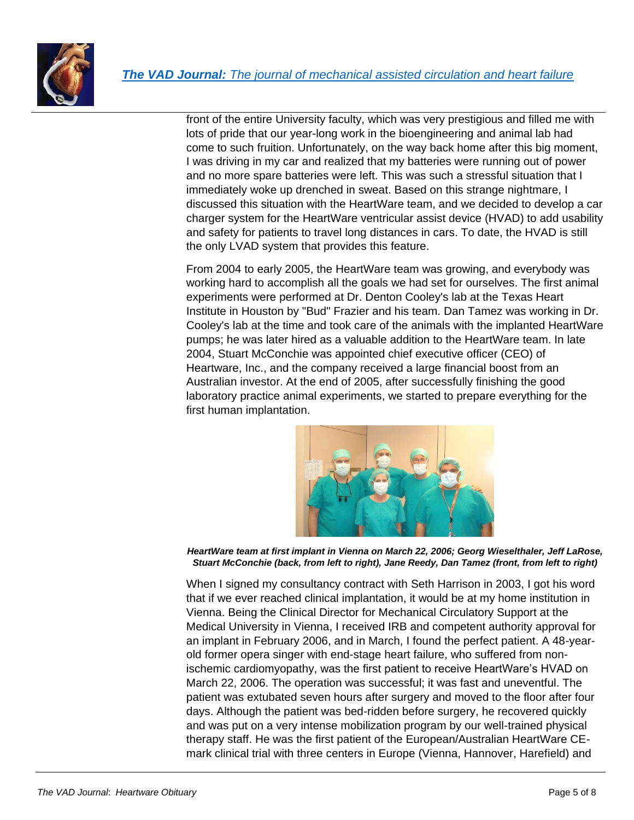

front of the entire University faculty, which was very prestigious and filled me with lots of pride that our year-long work in the bioengineering and animal lab had come to such fruition. Unfortunately, on the way back home after this big moment, I was driving in my car and realized that my batteries were running out of power and no more spare batteries were left. This was such a stressful situation that I immediately woke up drenched in sweat. Based on this strange nightmare, I discussed this situation with the HeartWare team, and we decided to develop a car charger system for the HeartWare ventricular assist device (HVAD) to add usability and safety for patients to travel long distances in cars. To date, the HVAD is still the only LVAD system that provides this feature.

From 2004 to early 2005, the HeartWare team was growing, and everybody was working hard to accomplish all the goals we had set for ourselves. The first animal experiments were performed at Dr. Denton Cooley's lab at the Texas Heart Institute in Houston by "Bud" Frazier and his team. Dan Tamez was working in Dr. Cooley's lab at the time and took care of the animals with the implanted HeartWare pumps; he was later hired as a valuable addition to the HeartWare team. In late 2004, Stuart McConchie was appointed chief executive officer (CEO) of Heartware, Inc., and the company received a large financial boost from an Australian investor. At the end of 2005, after successfully finishing the good laboratory practice animal experiments, we started to prepare everything for the first human implantation.



*HeartWare team at first implant in Vienna on March 22, 2006; Georg Wieselthaler, Jeff LaRose, Stuart McConchie (back, from left to right), Jane Reedy, Dan Tamez (front, from left to right)*

When I signed my consultancy contract with Seth Harrison in 2003, I got his word that if we ever reached clinical implantation, it would be at my home institution in Vienna. Being the Clinical Director for Mechanical Circulatory Support at the Medical University in Vienna, I received IRB and competent authority approval for an implant in February 2006, and in March, I found the perfect patient. A 48-yearold former opera singer with end-stage heart failure, who suffered from nonischemic cardiomyopathy, was the first patient to receive HeartWare's HVAD on March 22, 2006. The operation was successful; it was fast and uneventful. The patient was extubated seven hours after surgery and moved to the floor after four days. Although the patient was bed-ridden before surgery, he recovered quickly and was put on a very intense mobilization program by our well-trained physical therapy staff. He was the first patient of the European/Australian HeartWare CEmark clinical trial with three centers in Europe (Vienna, Hannover, Harefield) and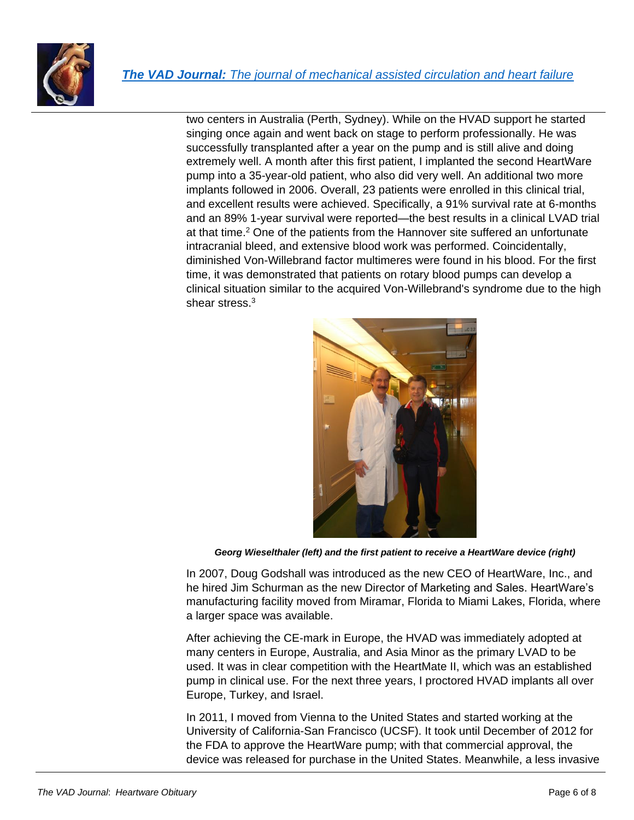

two centers in Australia (Perth, Sydney). While on the HVAD support he started singing once again and went back on stage to perform professionally. He was successfully transplanted after a year on the pump and is still alive and doing extremely well. A month after this first patient, I implanted the second HeartWare pump into a 35-year-old patient, who also did very well. An additional two more implants followed in 2006. Overall, 23 patients were enrolled in this clinical trial, and excellent results were achieved. Specifically, a 91% survival rate at 6-months and an 89% 1-year survival were reported—the best results in a clinical LVAD trial at that time.<sup>2</sup> One of the patients from the Hannover site suffered an unfortunate intracranial bleed, and extensive blood work was performed. Coincidentally, diminished Von-Willebrand factor multimeres were found in his blood. For the first time, it was demonstrated that patients on rotary blood pumps can develop a clinical situation similar to the acquired Von-Willebrand's syndrome due to the high shear stress.<sup>3</sup>



*Georg Wieselthaler (left) and the first patient to receive a HeartWare device (right)*

In 2007, Doug Godshall was introduced as the new CEO of HeartWare, Inc., and he hired Jim Schurman as the new Director of Marketing and Sales. HeartWare's manufacturing facility moved from Miramar, Florida to Miami Lakes, Florida, where a larger space was available.

After achieving the CE-mark in Europe, the HVAD was immediately adopted at many centers in Europe, Australia, and Asia Minor as the primary LVAD to be used. It was in clear competition with the HeartMate II, which was an established pump in clinical use. For the next three years, I proctored HVAD implants all over Europe, Turkey, and Israel.

In 2011, I moved from Vienna to the United States and started working at the University of California-San Francisco (UCSF). It took until December of 2012 for the FDA to approve the HeartWare pump; with that commercial approval, the device was released for purchase in the United States. Meanwhile, a less invasive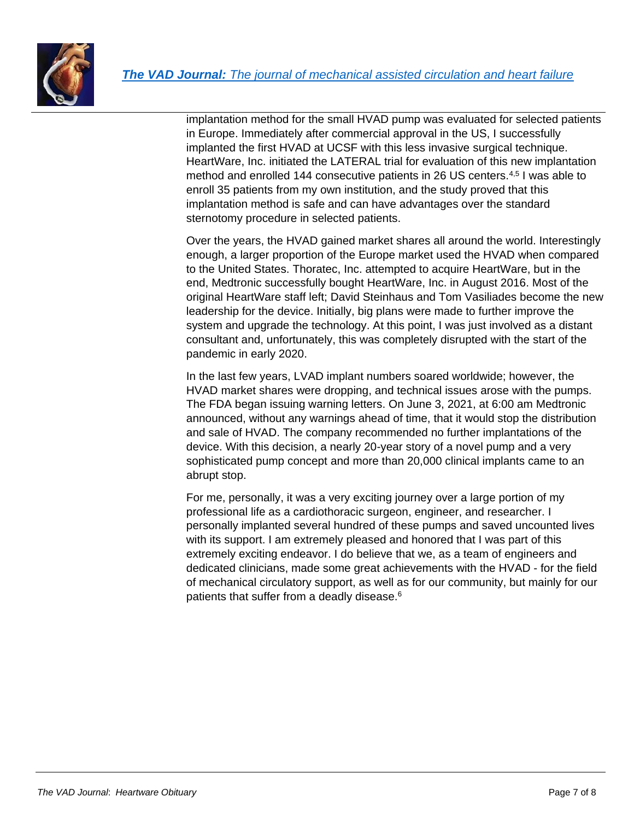

implantation method for the small HVAD pump was evaluated for selected patients in Europe. Immediately after commercial approval in the US, I successfully implanted the first HVAD at UCSF with this less invasive surgical technique. HeartWare, Inc. initiated the LATERAL trial for evaluation of this new implantation method and enrolled 144 consecutive patients in 26 US centers.4,5 I was able to enroll 35 patients from my own institution, and the study proved that this implantation method is safe and can have advantages over the standard sternotomy procedure in selected patients.

Over the years, the HVAD gained market shares all around the world. Interestingly enough, a larger proportion of the Europe market used the HVAD when compared to the United States. Thoratec, Inc. attempted to acquire HeartWare, but in the end, Medtronic successfully bought HeartWare, Inc. in August 2016. Most of the original HeartWare staff left; David Steinhaus and Tom Vasiliades become the new leadership for the device. Initially, big plans were made to further improve the system and upgrade the technology. At this point, I was just involved as a distant consultant and, unfortunately, this was completely disrupted with the start of the pandemic in early 2020.

In the last few years, LVAD implant numbers soared worldwide; however, the HVAD market shares were dropping, and technical issues arose with the pumps. The FDA began issuing warning letters. On June 3, 2021, at 6:00 am Medtronic announced, without any warnings ahead of time, that it would stop the distribution and sale of HVAD. The company recommended no further implantations of the device. With this decision, a nearly 20-year story of a novel pump and a very sophisticated pump concept and more than 20,000 clinical implants came to an abrupt stop.

For me, personally, it was a very exciting journey over a large portion of my professional life as a cardiothoracic surgeon, engineer, and researcher. I personally implanted several hundred of these pumps and saved uncounted lives with its support. I am extremely pleased and honored that I was part of this extremely exciting endeavor. I do believe that we, as a team of engineers and dedicated clinicians, made some great achievements with the HVAD - for the field of mechanical circulatory support, as well as for our community, but mainly for our patients that suffer from a deadly disease.<sup>6</sup>